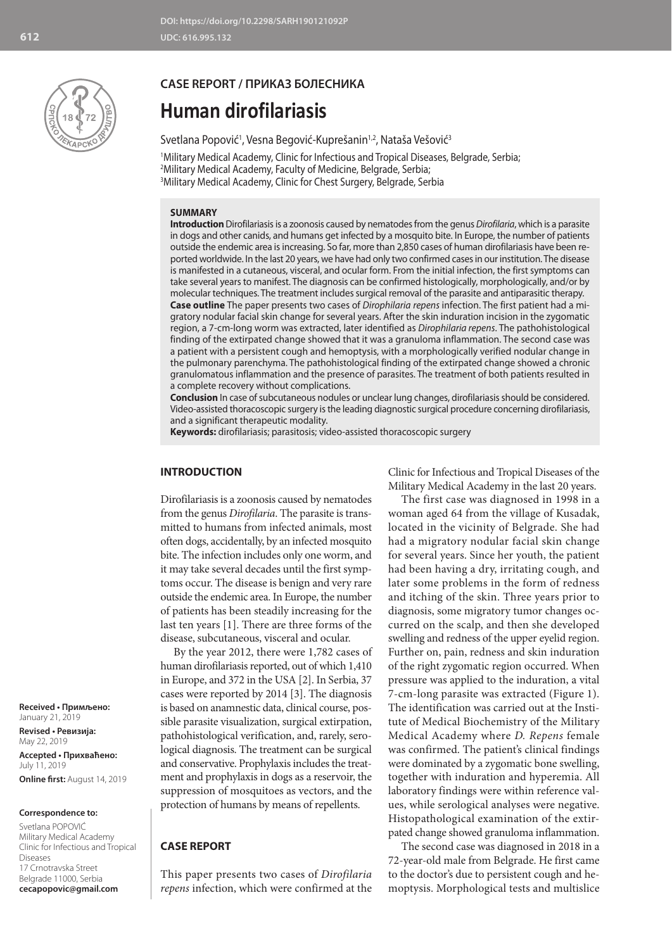

## **CASE REPORT / ПРИКАЗ БОЛЕСНИКА**

# **Human dirofilariasis**

## Svetlana Popović<sup>1</sup>, Vesna Begović-Kuprešanin<sup>1,2</sup>, Nataša Vešović<sup>3</sup>

1 Military Medical Academy, Clinic for Infectious and Tropical Diseases, Belgrade, Serbia; 2 Military Medical Academy, Faculty of Medicine, Belgrade, Serbia; 3 Military Medical Academy, Clinic for Chest Surgery, Belgrade, Serbia

## **SUMMARY**

**Introduction** Dirofilariasis is a zoonosis caused by nematodes from the genus *Dirofilaria*, which is a parasite in dogs and other canids, and humans get infected by a mosquito bite. In Europe, the number of patients outside the endemic area is increasing. So far, more than 2,850 cases of human dirofilariasis have been reported worldwide. In the last 20 years, we have had only two confirmed cases in our institution. The disease is manifested in a cutaneous, visceral, and ocular form. From the initial infection, the first symptoms can take several years to manifest. The diagnosis can be confirmed histologically, morphologically, and/or by molecular techniques. The treatment includes surgical removal of the parasite and antiparasitic therapy. **Case outline** The paper presents two cases of *Dirophilaria repens* infection. The first patient had a migratory nodular facial skin change for several years. After the skin induration incision in the zygomatic region, a 7-cm-long worm was extracted, later identified as *Dirophilaria repens*. The pathohistological finding of the extirpated change showed that it was a granuloma inflammation. The second case was a patient with a persistent cough and hemoptysis, with a morphologically verified nodular change in the pulmonary parenchyma. The pathohistological finding of the extirpated change showed a chronic granulomatous inflammation and the presence of parasites. The treatment of both patients resulted in a complete recovery without complications.

**Conclusion** In case of subcutaneous nodules or unclear lung changes, dirofilariasis should be considered. Video-assisted thoracoscopic surgery is the leading diagnostic surgical procedure concerning dirofilariasis, and a significant therapeutic modality.

**Keywords:** dirofilariasis; parasitosis; video-assisted thoracoscopic surgery

## **INTRODUCTION**

Dirofilariasis is a zoonosis caused by nematodes from the genus *Dirofilaria*. The parasite is transmitted to humans from infected animals, most often dogs, accidentally, by an infected mosquito bite. The infection includes only one worm, and it may take several decades until the first symptoms occur. The disease is benign and very rare outside the endemic area. In Europe, the number of patients has been steadily increasing for the last ten years [1]. There are three forms of the disease, subcutaneous, visceral and ocular.

By the year 2012, there were 1,782 cases of human dirofilariasis reported, out of which 1,410 in Europe, and 372 in the USA [2]. In Serbia, 37 cases were reported by 2014 [3]. The diagnosis is based on anamnestic data, clinical course, possible parasite visualization, surgical extirpation, pathohistological verification, and, rarely, serological diagnosis. The treatment can be surgical and conservative. Prophylaxis includes the treatment and prophylaxis in dogs as a reservoir, the suppression of mosquitoes as vectors, and the protection of humans by means of repellents.

## **CASE REPORT**

This paper presents two cases of *Dirofilaria repens* infection, which were confirmed at the Clinic for Infectious and Tropical Diseases of the Military Medical Academy in the last 20 years.

The first case was diagnosed in 1998 in a woman aged 64 from the village of Kusadak, located in the vicinity of Belgrade. She had had a migratory nodular facial skin change for several years. Since her youth, the patient had been having a dry, irritating cough, and later some problems in the form of redness and itching of the skin. Three years prior to diagnosis, some migratory tumor changes occurred on the scalp, and then she developed swelling and redness of the upper eyelid region. Further on, pain, redness and skin induration of the right zygomatic region occurred. When pressure was applied to the induration, a vital 7-cm-long parasite was extracted (Figure 1). The identification was carried out at the Institute of Medical Biochemistry of the Military Medical Academy where *D. Repens* female was confirmed. The patient's clinical findings were dominated by a zygomatic bone swelling, together with induration and hyperemia. All laboratory findings were within reference values, while serological analyses were negative. Histopathological examination of the extirpated change showed granuloma inflammation.

The second case was diagnosed in 2018 in a 72-year-old male from Belgrade. He first came to the doctor's due to persistent cough and hemoptysis. Morphological tests and multislice

**Received • Примљено:**  January 21, 2019

**Revised • Ревизија:**  May 22, 2019 **Accepted • Прихваћено:** July 11, 2019 **Online first:** August 14, 2019

#### **Correspondence to:**

Svetlana POPOVIĆ Military Medical Academy Clinic for Infectious and Tropical Diseases 17 Crnotravska Street Belgrade 11000, Serbia **cecapopovic@gmail.com**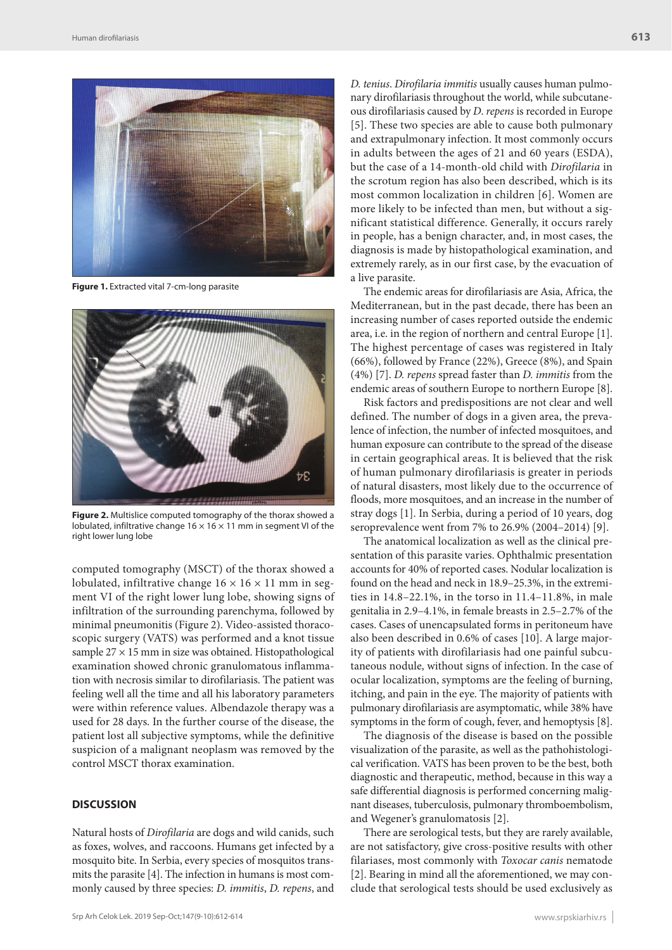

**Figure 1.** Extracted vital 7-cm-long parasite



**Figure 2.** Multislice computed tomography of the thorax showed a lobulated, infiltrative change  $16 \times 16 \times 11$  mm in segment VI of the right lower lung lobe

computed tomography (MSCT) of the thorax showed a lobulated, infiltrative change  $16 \times 16 \times 11$  mm in segment VI of the right lower lung lobe, showing signs of infiltration of the surrounding parenchyma, followed by minimal pneumonitis (Figure 2). Video-assisted thoracoscopic surgery (VATS) was performed and a knot tissue sample  $27 \times 15$  mm in size was obtained. Histopathological examination showed chronic granulomatous inflammation with necrosis similar to dirofilariasis. The patient was feeling well all the time and all his laboratory parameters were within reference values. Albendazole therapy was a used for 28 days. In the further course of the disease, the patient lost all subjective symptoms, while the definitive suspicion of a malignant neoplasm was removed by the control MSCT thorax examination.

## **DISCUSSION**

Natural hosts of *Dirofilaria* are dogs and wild canids, such as foxes, wolves, and raccoons. Humans get infected by a mosquito bite. In Serbia, every species of mosquitos transmits the parasite [4]. The infection in humans is most commonly caused by three species: *D. immitis*, *D. repens*, and

*D. tenius*. *Dirofilaria immitis* usually causes human pulmonary dirofilariasis throughout the world, while subcutaneous dirofilariasis caused by *D*. *repens* is recorded in Europe [5]. These two species are able to cause both pulmonary and extrapulmonary infection. It most commonly occurs in adults between the ages of 21 and 60 years (ESDA), but the case of a 14-month-old child with *Dirofilaria* in the scrotum region has also been described, which is its most common localization in children [6]. Women are more likely to be infected than men, but without a significant statistical difference. Generally, it occurs rarely in people, has a benign character, and, in most cases, the diagnosis is made by histopathological examination, and extremely rarely, as in our first case, by the evacuation of a live parasite.

The endemic areas for dirofilariasis are Asia, Africa, the Mediterranean, but in the past decade, there has been an increasing number of cases reported outside the endemic area, i.e. in the region of northern and central Europe [1]. The highest percentage of cases was registered in Italy (66%), followed by France (22%), Greece (8%), and Spain (4%) [7]. *D. repens* spread faster than *D. immitis* from the endemic areas of southern Europe to northern Europe [8].

Risk factors and predispositions are not clear and well defined. The number of dogs in a given area, the prevalence of infection, the number of infected mosquitoes, and human exposure can contribute to the spread of the disease in certain geographical areas. It is believed that the risk of human pulmonary dirofilariasis is greater in periods of natural disasters, most likely due to the occurrence of floods, more mosquitoes, and an increase in the number of stray dogs [1]. In Serbia, during a period of 10 years, dog seroprevalence went from 7% to 26.9% (2004–2014) [9].

The anatomical localization as well as the clinical presentation of this parasite varies. Ophthalmic presentation accounts for 40% of reported cases. Nodular localization is found on the head and neck in 18.9–25.3%, in the extremities in 14.8–22.1%, in the torso in 11.4–11.8%, in male genitalia in 2.9–4.1%, in female breasts in 2.5–2.7% of the cases. Cases of unencapsulated forms in peritoneum have also been described in 0.6% of cases [10]. A large majority of patients with dirofilariasis had one painful subcutaneous nodule, without signs of infection. In the case of ocular localization, symptoms are the feeling of burning, itching, and pain in the eye. The majority of patients with pulmonary dirofilariasis are asymptomatic, while 38% have symptoms in the form of cough, fever, and hemoptysis [8].

The diagnosis of the disease is based on the possible visualization of the parasite, as well as the pathohistological verification. VATS has been proven to be the best, both diagnostic and therapeutic, method, because in this way a safe differential diagnosis is performed concerning malignant diseases, tuberculosis, pulmonary thromboembolism, and Wegener's granulomatosis [2].

There are serological tests, but they are rarely available, are not satisfactory, give cross-positive results with other filariases, most commonly with *Toxocar canis* nematode [2]. Bearing in mind all the aforementioned, we may conclude that serological tests should be used exclusively as